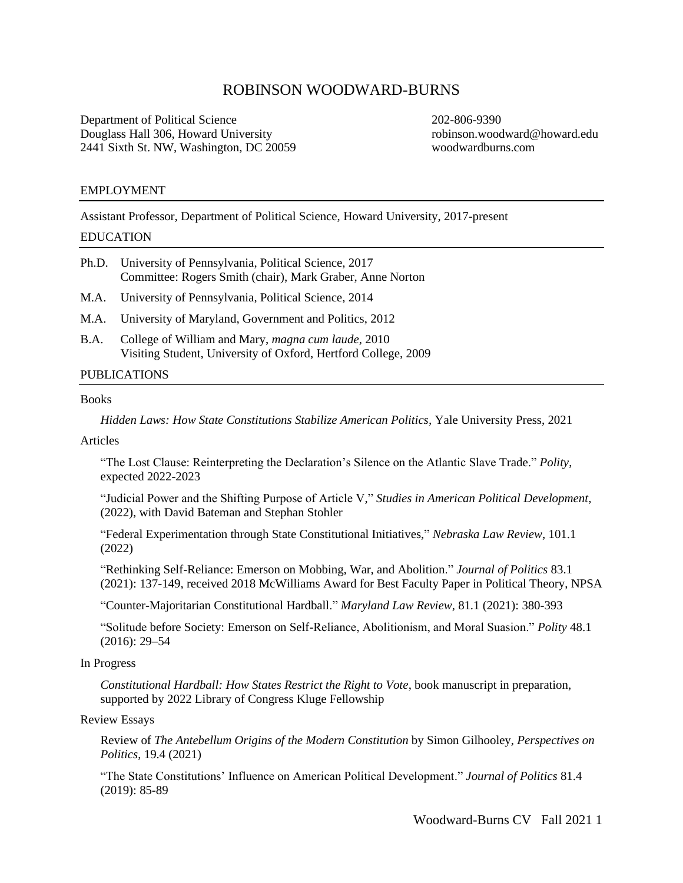# ROBINSON WOODWARD-BURNS

Department of Political Science 202-806-9390 Douglass Hall 306, Howard University robinson.woodward@howard.edu 2441 Sixth St. NW, Washington, DC 20059 [woodwardburns.com](https://woodwardburns.com/)

# EMPLOYMENT

Assistant Professor, Department of Political Science, Howard University, 2017-present

# EDUCATION

| Ph.D. University of Pennsylvania, Political Science, 2017 |
|-----------------------------------------------------------|
| Committee: Rogers Smith (chair), Mark Graber, Anne Norton |

- M.A. University of Pennsylvania, Political Science, 2014
- M.A. University of Maryland, Government and Politics, 2012
- B.A. College of William and Mary, *magna cum laude*, 2010 Visiting Student, University of Oxford, Hertford College, 2009

# PUBLICATIONS

# **Books**

*Hidden Laws: How State Constitutions Stabilize American Politics,* Yale University Press, 2021

## Articles

"The Lost Clause: Reinterpreting the Declaration's Silence on the Atlantic Slave Trade." *Polity*, expected 2022-2023

"Judicial Power and the Shifting Purpose of Article V," *Studies in American Political Development*, (2022), with David Bateman and Stephan Stohler

"Federal Experimentation through State Constitutional Initiatives," *Nebraska Law Review*, 101.1 (2022)

"Rethinking Self-Reliance: Emerson on Mobbing, War, and Abolition." *Journal of Politics* 83.1 (2021): 137-149, received 2018 McWilliams Award for Best Faculty Paper in Political Theory, NPSA

"Counter-Majoritarian Constitutional Hardball." *Maryland Law Review*, 81.1 (2021): 380-393

"Solitude before Society: Emerson on Self-Reliance, Abolitionism, and Moral Suasion." *Polity* 48.1 (2016): 29–54

# In Progress

*Constitutional Hardball: How States Restrict the Right to Vote*, book manuscript in preparation, supported by 2022 Library of Congress Kluge Fellowship

# Review Essays

Review of *The Antebellum Origins of the Modern Constitution* by Simon Gilhooley, *Perspectives on Politics*, 19.4 (2021)

"The State Constitutions' Influence on American Political Development." *Journal of Politics* 81.4 (2019): 85-89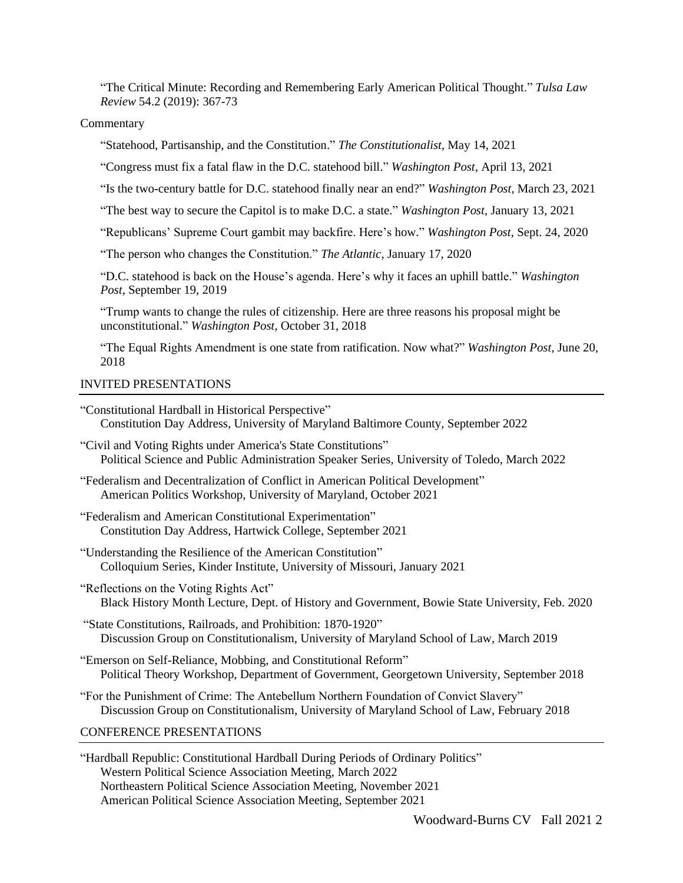"The Critical Minute: Recording and Remembering Early American Political Thought." *Tulsa Law Review* 54.2 (2019): 367-73

## Commentary

"Statehood, Partisanship, and the Constitution." *The Constitutionalist*, May 14, 2021

"Congress must fix a fatal flaw in the D.C. statehood bill." *Washington Post*, April 13, 2021

"Is the two-century battle for D.C. statehood finally near an end?" *Washington Post*, March 23, 2021

"The best way to secure the Capitol is to make D.C. a state." *Washington Post*, January 13, 2021

"Republicans' Supreme Court gambit may backfire. Here's how." *Washington Post*, Sept. 24, 2020

"The person who changes the Constitution." *The Atlantic*, January 17, 2020

"D.C. statehood is back on the House's agenda. Here's why it faces an uphill battle." *Washington Post*, September 19, 2019

"Trump wants to change the rules of citizenship. Here are three reasons his proposal might be unconstitutional." *Washington Post*, October 31, 2018

"The Equal Rights Amendment is one state from ratification. Now what?" *Washington Post*, June 20, 2018

# INVITED PRESENTATIONS

"Constitutional Hardball in Historical Perspective" Constitution Day Address, University of Maryland Baltimore County, September 2022

"Civil and Voting Rights under America's State Constitutions" Political Science and Public Administration Speaker Series, University of Toledo, March 2022

"Federalism and Decentralization of Conflict in American Political Development" American Politics Workshop, University of Maryland, October 2021

- "Federalism and American Constitutional Experimentation" Constitution Day Address, Hartwick College, September 2021
- "Understanding the Resilience of the American Constitution" Colloquium Series, Kinder Institute, University of Missouri, January 2021
- "Reflections on the Voting Rights Act" Black History Month Lecture, Dept. of History and Government, Bowie State University, Feb. 2020
- "State Constitutions, Railroads, and Prohibition: 1870-1920" Discussion Group on Constitutionalism, University of Maryland School of Law, March 2019
- "Emerson on Self-Reliance, Mobbing, and Constitutional Reform" Political Theory Workshop, Department of Government, Georgetown University, September 2018
- "For the Punishment of Crime: The Antebellum Northern Foundation of Convict Slavery" Discussion Group on Constitutionalism, University of Maryland School of Law, February 2018

# CONFERENCE PRESENTATIONS

"Hardball Republic: Constitutional Hardball During Periods of Ordinary Politics" Western Political Science Association Meeting, March 2022 Northeastern Political Science Association Meeting, November 2021 American Political Science Association Meeting, September 2021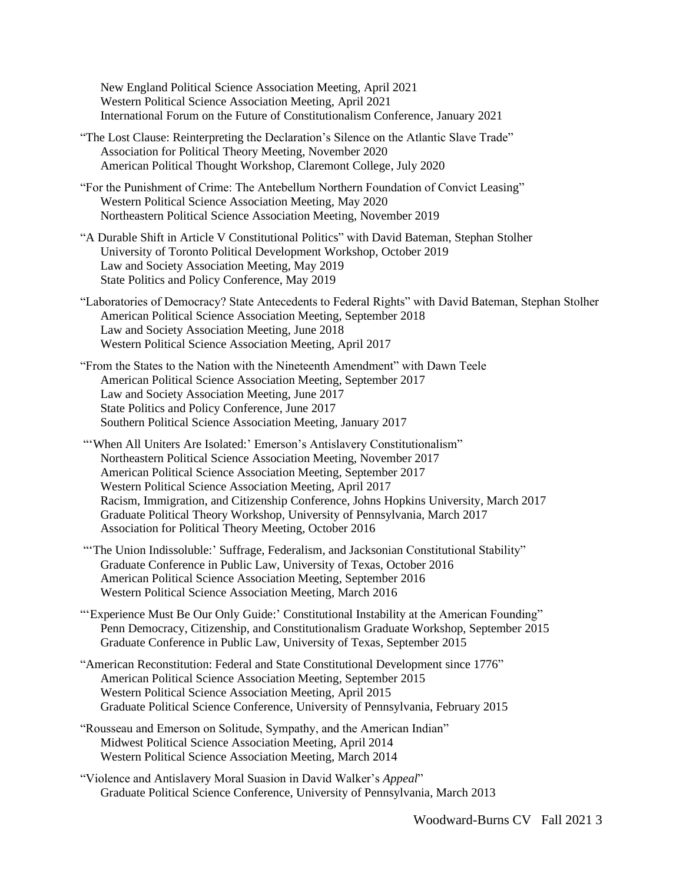New England Political Science Association Meeting, April 2021 Western Political Science Association Meeting, April 2021 International Forum on the Future of Constitutionalism Conference, January 2021

"The Lost Clause: Reinterpreting the Declaration's Silence on the Atlantic Slave Trade" Association for Political Theory Meeting, November 2020 American Political Thought Workshop, Claremont College, July 2020

"For the Punishment of Crime: The Antebellum Northern Foundation of Convict Leasing" Western Political Science Association Meeting, May 2020 Northeastern Political Science Association Meeting, November 2019

- "A Durable Shift in Article V Constitutional Politics" with David Bateman, Stephan Stolher University of Toronto Political Development Workshop, October 2019 Law and Society Association Meeting, May 2019 State Politics and Policy Conference, May 2019
- "Laboratories of Democracy? State Antecedents to Federal Rights" with David Bateman, Stephan Stolher American Political Science Association Meeting, September 2018 Law and Society Association Meeting, June 2018 Western Political Science Association Meeting, April 2017
- "From the States to the Nation with the Nineteenth Amendment" with Dawn Teele American Political Science Association Meeting, September 2017 Law and Society Association Meeting, June 2017 State Politics and Policy Conference, June 2017 Southern Political Science Association Meeting, January 2017
- "'When All Uniters Are Isolated:' Emerson's Antislavery Constitutionalism" Northeastern Political Science Association Meeting, November 2017 American Political Science Association Meeting, September 2017 Western Political Science Association Meeting, April 2017 Racism, Immigration, and Citizenship Conference, Johns Hopkins University, March 2017 Graduate Political Theory Workshop, University of Pennsylvania, March 2017 Association for Political Theory Meeting, October 2016
- "'The Union Indissoluble:' Suffrage, Federalism, and Jacksonian Constitutional Stability" Graduate Conference in Public Law, University of Texas, October 2016 American Political Science Association Meeting, September 2016 Western Political Science Association Meeting, March 2016
- "'Experience Must Be Our Only Guide:' Constitutional Instability at the American Founding" Penn Democracy, Citizenship, and Constitutionalism Graduate Workshop, September 2015 Graduate Conference in Public Law, University of Texas, September 2015
- "American Reconstitution: Federal and State Constitutional Development since 1776" American Political Science Association Meeting, September 2015 Western Political Science Association Meeting, April 2015 Graduate Political Science Conference, University of Pennsylvania, February 2015
- "Rousseau and Emerson on Solitude, Sympathy, and the American Indian" Midwest Political Science Association Meeting, April 2014 Western Political Science Association Meeting, March 2014
- "Violence and Antislavery Moral Suasion in David Walker's *Appeal*" Graduate Political Science Conference, University of Pennsylvania, March 2013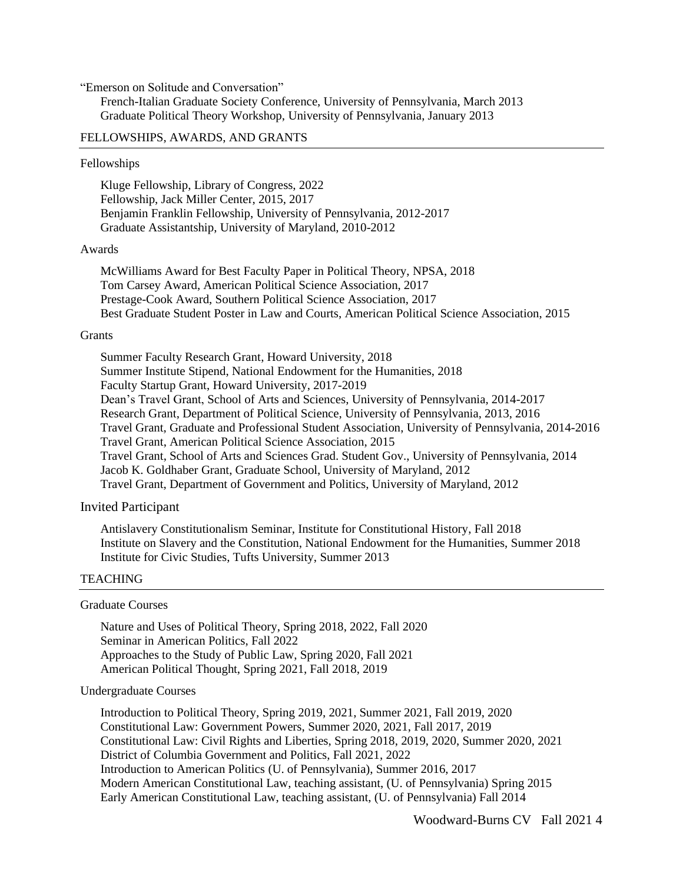"Emerson on Solitude and Conversation"

French-Italian Graduate Society Conference, University of Pennsylvania, March 2013 Graduate Political Theory Workshop, University of Pennsylvania, January 2013

# FELLOWSHIPS, AWARDS, AND GRANTS

### Fellowships

Kluge Fellowship, Library of Congress, 2022 Fellowship, Jack Miller Center, 2015, 2017 Benjamin Franklin Fellowship, University of Pennsylvania, 2012-2017 Graduate Assistantship, University of Maryland, 2010-2012

#### Awards

McWilliams Award for Best Faculty Paper in Political Theory, NPSA, 2018 Tom Carsey Award, American Political Science Association, 2017 Prestage-Cook Award, Southern Political Science Association, 2017 Best Graduate Student Poster in Law and Courts, American Political Science Association, 2015

#### **Grants**

Summer Faculty Research Grant, Howard University, 2018 Summer Institute Stipend, National Endowment for the Humanities, 2018 Faculty Startup Grant, Howard University, 2017-2019 Dean's Travel Grant, School of Arts and Sciences, University of Pennsylvania, 2014-2017 Research Grant, Department of Political Science, University of Pennsylvania, 2013, 2016 Travel Grant, Graduate and Professional Student Association, University of Pennsylvania, 2014-2016 Travel Grant, American Political Science Association, 2015 Travel Grant, School of Arts and Sciences Grad. Student Gov., University of Pennsylvania, 2014 Jacob K. Goldhaber Grant, Graduate School, University of Maryland, 2012 Travel Grant, Department of Government and Politics, University of Maryland, 2012

#### Invited Participant

Antislavery Constitutionalism Seminar, Institute for Constitutional History, Fall 2018 Institute on Slavery and the Constitution, National Endowment for the Humanities, Summer 2018 Institute for Civic Studies, Tufts University, Summer 2013

#### **TEACHING**

#### Graduate Courses

Nature and Uses of Political Theory, Spring 2018, 2022, Fall 2020 Seminar in American Politics, Fall 2022 Approaches to the Study of Public Law, Spring 2020, Fall 2021 American Political Thought, Spring 2021, Fall 2018, 2019

# Undergraduate Courses

Introduction to Political Theory, Spring 2019, 2021, Summer 2021, Fall 2019, 2020 Constitutional Law: Government Powers, Summer 2020, 2021, Fall 2017, 2019 Constitutional Law: Civil Rights and Liberties, Spring 2018, 2019, 2020, Summer 2020, 2021 District of Columbia Government and Politics, Fall 2021, 2022 Introduction to American Politics (U. of Pennsylvania), Summer 2016, 2017 Modern American Constitutional Law, teaching assistant, (U. of Pennsylvania) Spring 2015 Early American Constitutional Law, teaching assistant, (U. of Pennsylvania) Fall 2014